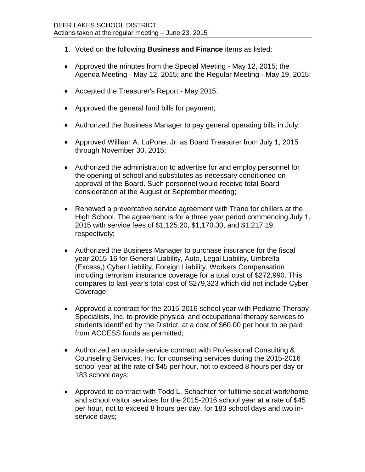- 1. Voted on the following **Business and Finance** items as listed:
- Approved the minutes from the Special Meeting May 12, 2015; the Agenda Meeting - May 12, 2015; and the Regular Meeting - May 19, 2015;
- Accepted the Treasurer's Report May 2015;
- Approved the general fund bills for payment;
- Authorized the Business Manager to pay general operating bills in July;
- Approved William A. LuPone, Jr. as Board Treasurer from July 1, 2015 through November 30, 2015;
- Authorized the administration to advertise for and employ personnel for the opening of school and substitutes as necessary conditioned on approval of the Board. Such personnel would receive total Board consideration at the August or September meeting;
- Renewed a preventative service agreement with Trane for chillers at the High School. The agreement is for a three year period commencing July 1, 2015 with service fees of \$1,125.20, \$1,170.30, and \$1,217.19, respectively;
- Authorized the Business Manager to purchase insurance for the fiscal year 2015-16 for General Liability, Auto, Legal Liability, Umbrella (Excess,) Cyber Liability, Foreign Liability, Workers Compensation including terrorism insurance coverage for a total cost of \$272,990. This compares to last year's total cost of \$279,323 which did not include Cyber Coverage;
- Approved a contract for the 2015-2016 school year with Pediatric Therapy Specialists, Inc. to provide physical and occupational therapy services to students identified by the District, at a cost of \$60.00 per hour to be paid from ACCESS funds as permitted;
- Authorized an outside service contract with Professional Consulting & Counseling Services, Inc. for counseling services during the 2015-2016 school year at the rate of \$45 per hour, not to exceed 8 hours per day or 183 school days;
- Approved to contract with Todd L. Schachter for fulltime social work/home and school visitor services for the 2015-2016 school year at a rate of \$45 per hour, not to exceed 8 hours per day, for 183 school days and two inservice days;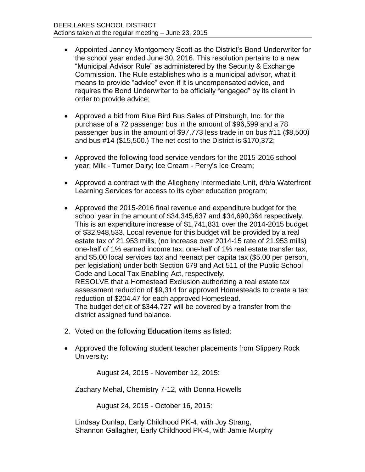- Appointed Janney Montgomery Scott as the District's Bond Underwriter for the school year ended June 30, 2016. This resolution pertains to a new "Municipal Advisor Rule" as administered by the Security & Exchange Commission. The Rule establishes who is a municipal advisor, what it means to provide "advice" even if it is uncompensated advice, and requires the Bond Underwriter to be officially "engaged" by its client in order to provide advice;
- Approved a bid from Blue Bird Bus Sales of Pittsburgh, Inc. for the purchase of a 72 passenger bus in the amount of \$96,599 and a 78 passenger bus in the amount of \$97,773 less trade in on bus #11 (\$8,500) and bus #14 (\$15,500.) The net cost to the District is \$170,372;
- Approved the following food service vendors for the 2015-2016 school year: Milk - Turner Dairy; Ice Cream - Perry's Ice Cream;
- Approved a contract with the Allegheny Intermediate Unit, d/b/a Waterfront Learning Services for access to its cyber education program;
- Approved the 2015-2016 final revenue and expenditure budget for the school year in the amount of \$34,345,637 and \$34,690,364 respectively. This is an expenditure increase of \$1,741,831 over the 2014-2015 budget of \$32,948,533. Local revenue for this budget will be provided by a real estate tax of 21.953 mills, (no increase over 2014-15 rate of 21.953 mills) one-half of 1% earned income tax, one-half of 1% real estate transfer tax, and \$5.00 local services tax and reenact per capita tax (\$5.00 per person, per legislation) under both Section 679 and Act 511 of the Public School Code and Local Tax Enabling Act, respectively. RESOLVE that a Homestead Exclusion authorizing a real estate tax assessment reduction of \$9,314 for approved Homesteads to create a tax reduction of \$204.47 for each approved Homestead. The budget deficit of \$344,727 will be covered by a transfer from the district assigned fund balance.
- 2. Voted on the following **Education** items as listed:
- Approved the following student teacher placements from Slippery Rock University:

August 24, 2015 - November 12, 2015:

Zachary Mehal, Chemistry 7-12, with Donna Howells

August 24, 2015 - October 16, 2015:

Lindsay Dunlap, Early Childhood PK-4, with Joy Strang, Shannon Gallagher, Early Childhood PK-4, with Jamie Murphy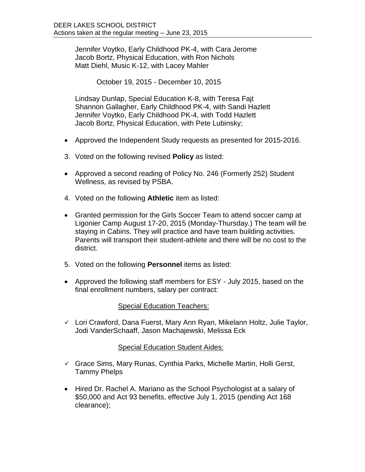Jennifer Voytko, Early Childhood PK-4, with Cara Jerome Jacob Bortz, Physical Education, with Ron Nichols Matt Diehl, Music K-12, with Lacey Mahler

October 19, 2015 - December 10, 2015

Lindsay Dunlap, Special Education K-8, with Teresa Fajt Shannon Gallagher, Early Childhood PK-4, with Sandi Hazlett Jennifer Voytko, Early Childhood PK-4, with Todd Hazlett Jacob Bortz, Physical Education, with Pete Lubinsky;

- Approved the Independent Study requests as presented for 2015-2016.
- 3. Voted on the following revised **Policy** as listed:
- Approved a second reading of Policy No. 246 (Formerly 252) Student Wellness, as revised by PSBA.
- 4. Voted on the following **Athletic** item as listed:
- Granted permission for the Girls Soccer Team to attend soccer camp at Ligonier Camp August 17-20, 2015 (Monday-Thursday.) The team will be staying in Cabins. They will practice and have team building activities. Parents will transport their student-athlete and there will be no cost to the district.
- 5. Voted on the following **Personnel** items as listed:
- Approved the following staff members for ESY July 2015, based on the final enrollment numbers, salary per contract:

## Special Education Teachers:

 $\checkmark$  Lori Crawford, Dana Fuerst, Mary Ann Ryan, Mikelann Holtz, Julie Taylor, Jodi VanderSchaaff, Jason Machajewski, Melissa Eck

## Special Education Student Aides:

- $\checkmark$  Grace Sims, Mary Runas, Cynthia Parks, Michelle Martin, Holli Gerst, Tammy Phelps
- Hired Dr. Rachel A. Mariano as the School Psychologist at a salary of \$50,000 and Act 93 benefits, effective July 1, 2015 (pending Act 168 clearance);